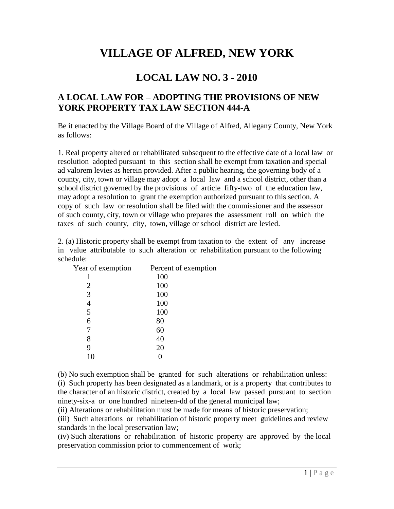## **VILLAGE OF ALFRED, NEW YORK**

## **LOCAL LAW NO. 3 - 2010**

## **<sup>A</sup> LOCAL LAW FOR <sup>ñ</sup> ADOPTING THE PROVISIONS OF NEW YORK PROPERTY TAX LAW SECTION 444-A**

Be it enacted by the Village Board of the Village of Alfred, Allegany County, New York as follows:

1. Real property altered or rehabilitated subsequent to the effective date of a local law or resolution adopted pursuant to this section shall be exempt from taxation and special ad valorem levies as herein provided. After a public hearing, the governing body of a county, city, town or village may adopt a local law and a school district, other than a school district governed by the provisions of article fifty-two of the education law, may adopt a resolution to grant the exemption authorized pursuant to this section. A copy of such law or resolution shall be filed with the commissioner and the assessor of such county, city, town or village who prepares the assessment roll on which the taxes of such county, city, town, village or school district are levied.

2. (a) Historic property shall be exempt from taxation to the extent of any increase in value attributable to such alteration or rehabilitation pursuant to the following schedule:

| Year of exemption | Percent of exemption |  |
|-------------------|----------------------|--|
|                   | 100                  |  |
| 2                 | 100                  |  |
| 3                 | 100                  |  |
| 4                 | 100                  |  |
| 5                 | 100                  |  |
| 6                 | 80                   |  |
| 7                 | 60                   |  |
| 8                 | 40                   |  |
| 9                 | 20                   |  |
| 10                |                      |  |
|                   |                      |  |

(b) No such exemption shall be granted for such alterations or rehabilitation unless: (i) Such property has been designated as a landmark, or is a property that contributes to the character of an historic district, created by a local law passed pursuant to section ninety-six-a or one hundred nineteen-dd of the general municipal law;

(ii) Alterations or rehabilitation must be made for means of historic preservation;

(iii) Such alterations or rehabilitation of historic property meet guidelines and review standards in the local preservation law;

(iv) Such alterations or rehabilitation of historic property are approved by the local preservation commission prior to commencement of work;